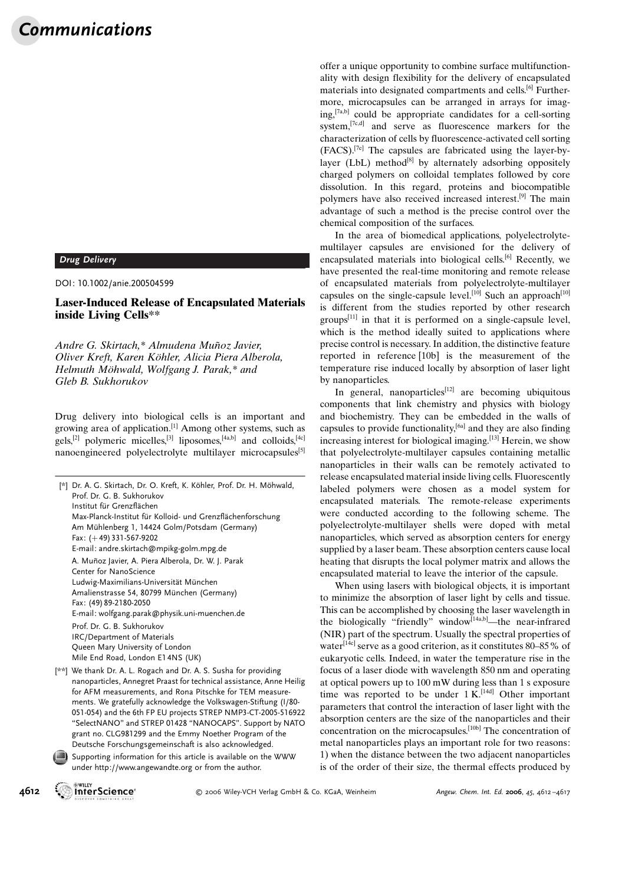# **Communications**

#### Drug Delivery

DOI: 10.1002/anie.200504599

Laser-Induced Release of Encapsulated Materials inside Living Cells\*\*

Andre G. Skirtach,\* Almudena Muñoz Javier, Oliver Kreft, Karen Köhler, Alicia Piera Alberola, Helmuth Möhwald, Wolfgang J. Parak,\* and Gleb B. Sukhorukov

Drug delivery into biological cells is an important and growing area of application.[1] Among other systems, such as gels,<sup>[2]</sup> polymeric micelles,<sup>[3]</sup> liposomes,<sup>[4a,b]</sup> and colloids,<sup>[4c]</sup> nanoengineered polyelectrolyte multilayer microcapsules<sup>[5]</sup>

| [*] Dr. A. G. Skirtach, Dr. O. Kreft, K. Köhler, Prof. Dr. H. Möhwald,<br>Prof. Dr. G. B. Sukhorukov<br>Institut für Grenzflächen |
|-----------------------------------------------------------------------------------------------------------------------------------|
| Max-Planck-Institut für Kolloid- und Grenzflächenforschung                                                                        |
| Am Mühlenberg 1, 14424 Golm/Potsdam (Germany)                                                                                     |
| Fax: $(+49)$ 331-567-9202                                                                                                         |
| E-mail: andre.skirtach@mpikg-golm.mpg.de                                                                                          |
| A. Muñoz Javier, A. Piera Alberola, Dr. W. J. Parak                                                                               |
| Center for NanoScience                                                                                                            |
| Ludwig-Maximilians-Universität München                                                                                            |
| Amalienstrasse 54, 80799 München (Germany)                                                                                        |
| Fax: (49) 89-2180-2050                                                                                                            |
| E-mail: wolfgang.parak@physik.uni-muenchen.de                                                                                     |
| Prof. Dr. G. B. Sukhorukov                                                                                                        |
| IRC/Department of Materials                                                                                                       |
| Queen Mary University of London                                                                                                   |
| Mile End Road, London E14NS (UK)                                                                                                  |
| that it is a second to be a controlled to the second the second to the second the second terms of the second to the               |

[\*\*] We thank Dr. A. L. Rogach and Dr. A. S. Susha for providing nanoparticles, Annegret Praast for technical assistance, Anne Heilig for AFM measurements, and Rona Pitschke for TEM measurements. We gratefully acknowledge the Volkswagen-Stiftung (I/80- 051-054) and the 6th FP EU projects STREP NMP3-CT-2005-516922 "SelectNANO" and STREP 01428 "NANOCAPS". Support by NATO grant no. CLG981299 and the Emmy Noether Program of the Deutsche Forschungsgemeinschaft is also acknowledged.

Supporting information for this article is available on the WWW under http://www.angewandte.org or from the author.

offer a unique opportunity to combine surface multifunctionality with design flexibility for the delivery of encapsulated materials into designated compartments and cells.[6] Furthermore, microcapsules can be arranged in arrays for imaging,[7a,b] could be appropriate candidates for a cell-sorting system,<sup>[7c,d]</sup> and serve as fluorescence markers for the characterization of cells by fluorescence-activated cell sorting (FACS).[7e] The capsules are fabricated using the layer-bylayer (LbL) method<sup>[8]</sup> by alternately adsorbing oppositely charged polymers on colloidal templates followed by core dissolution. In this regard, proteins and biocompatible polymers have also received increased interest.[9] The main advantage of such a method is the precise control over the chemical composition of the surfaces.

In the area of biomedical applications, polyelectrolytemultilayer capsules are envisioned for the delivery of encapsulated materials into biological cells.<sup>[6]</sup> Recently, we have presented the real-time monitoring and remote release of encapsulated materials from polyelectrolyte-multilayer capsules on the single-capsule level.<sup>[10]</sup> Such an approach<sup>[10]</sup> is different from the studies reported by other research  $groups<sup>[11]</sup>$  in that it is performed on a single-capsule level, which is the method ideally suited to applications where precise control is necessary. In addition, the distinctive feature reported in reference [10b] is the measurement of the temperature rise induced locally by absorption of laser light by nanoparticles.

In general, nanoparticles<sup>[12]</sup> are becoming ubiquitous components that link chemistry and physics with biology and biochemistry. They can be embedded in the walls of capsules to provide functionality,<sup> $[6a]$ </sup> and they are also finding increasing interest for biological imaging.[13] Herein, we show that polyelectrolyte-multilayer capsules containing metallic nanoparticles in their walls can be remotely activated to release encapsulated material inside living cells. Fluorescently labeled polymers were chosen as a model system for encapsulated materials. The remote-release experiments were conducted according to the following scheme. The polyelectrolyte-multilayer shells were doped with metal nanoparticles, which served as absorption centers for energy supplied by a laser beam. These absorption centers cause local heating that disrupts the local polymer matrix and allows the encapsulated material to leave the interior of the capsule.

When using lasers with biological objects, it is important to minimize the absorption of laser light by cells and tissue. This can be accomplished by choosing the laser wavelength in the biologically "friendly" window[14a,b]—the near-infrared (NIR) part of the spectrum. Usually the spectral properties of water<sup>[14c]</sup> serve as a good criterion, as it constitutes 80–85% of eukaryotic cells. Indeed, in water the temperature rise in the focus of a laser diode with wavelength 850 nm and operating at optical powers up to 100 mW during less than 1 s exposure time was reported to be under  $1 \text{ K}$ .<sup>[14d]</sup> Other important parameters that control the interaction of laser light with the absorption centers are the size of the nanoparticles and their concentration on the microcapsules.[10b] The concentration of metal nanoparticles plays an important role for two reasons: 1) when the distance between the two adjacent nanoparticles is of the order of their size, the thermal effects produced by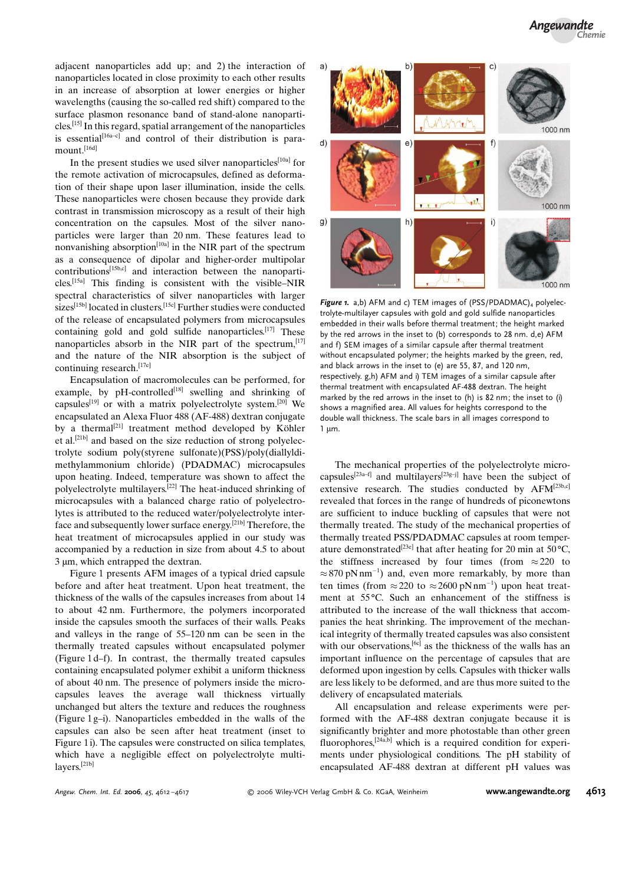adjacent nanoparticles add up; and 2) the interaction of nanoparticles located in close proximity to each other results in an increase of absorption at lower energies or higher wavelengths (causing the so-called red shift) compared to the surface plasmon resonance band of stand-alone nanoparticles.[15] In this regard, spatial arrangement of the nanoparticles is essential $\left[16a-c\right]$  and control of their distribution is paramount.<sup>[16d]</sup>

In the present studies we used silver nanoparticles<sup>[10a]</sup> for the remote activation of microcapsules, defined as deformation of their shape upon laser illumination, inside the cells. These nanoparticles were chosen because they provide dark contrast in transmission microscopy as a result of their high concentration on the capsules. Most of the silver nanoparticles were larger than 20 nm. These features lead to nonvanishing absorption $[10a]$  in the NIR part of the spectrum as a consequence of dipolar and higher-order multipolar contributions[15b,c] and interaction between the nanoparticles.[15a] This finding is consistent with the visible–NIR spectral characteristics of silver nanoparticles with larger sizes<sup>[15b]</sup> located in clusters.<sup>[15c]</sup> Further studies were conducted of the release of encapsulated polymers from microcapsules containing gold and gold sulfide nanoparticles.[17] These nanoparticles absorb in the NIR part of the spectrum,<sup>[17]</sup> and the nature of the NIR absorption is the subject of continuing research.[17e]

Encapsulation of macromolecules can be performed, for example, by  $pH$ -controlled<sup>[18]</sup> swelling and shrinking of capsules<sup>[19]</sup> or with a matrix polyelectrolyte system.<sup>[20]</sup> We encapsulated an Alexa Fluor 488 (AF-488) dextran conjugate by a thermal<sup>[21]</sup> treatment method developed by Köhler et al.[21b] and based on the size reduction of strong polyelectrolyte sodium poly(styrene sulfonate)(PSS)/poly(diallyldimethylammonium chloride) (PDADMAC) microcapsules upon heating. Indeed, temperature was shown to affect the polyelectrolyte multilayers.[22] The heat-induced shrinking of microcapsules with a balanced charge ratio of polyelectrolytes is attributed to the reduced water/polyelectrolyte interface and subsequently lower surface energy.<sup>[21b]</sup> Therefore, the heat treatment of microcapsules applied in our study was accompanied by a reduction in size from about 4.5 to about  $3 \mu m$ , which entrapped the dextran.

Figure 1 presents AFM images of a typical dried capsule before and after heat treatment. Upon heat treatment, the thickness of the walls of the capsules increases from about 14 to about 42 nm. Furthermore, the polymers incorporated inside the capsules smooth the surfaces of their walls. Peaks and valleys in the range of 55–120 nm can be seen in the thermally treated capsules without encapsulated polymer (Figure 1 d–f). In contrast, the thermally treated capsules containing encapsulated polymer exhibit a uniform thickness of about 40 nm. The presence of polymers inside the microcapsules leaves the average wall thickness virtually unchanged but alters the texture and reduces the roughness (Figure 1 g–i). Nanoparticles embedded in the walls of the capsules can also be seen after heat treatment (inset to Figure 1i). The capsules were constructed on silica templates, which have a negligible effect on polyelectrolyte multilayers.[21b]



Figure 1. a,b) AFM and c) TEM images of (PSS/PDADMAC)<sub>4</sub> polyelectrolyte-multilayer capsules with gold and gold sulfide nanoparticles embedded in their walls before thermal treatment; the height marked by the red arrows in the inset to (b) corresponds to 28 nm. d,e) AFM and f) SEM images of a similar capsule after thermal treatment without encapsulated polymer; the heights marked by the green, red, and black arrows in the inset to (e) are 55, 87, and 120 nm, respectively. g,h) AFM and i) TEM images of a similar capsule after thermal treatment with encapsulated AF-488 dextran. The height marked by the red arrows in the inset to (h) is 82 nm; the inset to (i) shows a magnified area. All values for heights correspond to the double wall thickness. The scale bars in all images correspond to  $1 \mu m$ .

The mechanical properties of the polyelectrolyte microcapsules<sup>[23a–f]</sup> and multilayers<sup>[23g–j]</sup> have been the subject of extensive research. The studies conducted by AFM<sup>[23b,c]</sup> revealed that forces in the range of hundreds of piconewtons are sufficient to induce buckling of capsules that were not thermally treated. The study of the mechanical properties of thermally treated PSS/PDADMAC capsules at room temperature demonstrated<sup>[23e]</sup> that after heating for 20 min at 50 °C. the stiffness increased by four times (from  $\approx$  220 to  $\approx$  870 pN nm<sup>-1</sup>) and, even more remarkably, by more than ten times (from  $\approx$  220 to  $\approx$  2600 pN nm<sup>-1</sup>) upon heat treatment at 55 °C. Such an enhancement of the stiffness is attributed to the increase of the wall thickness that accompanies the heat shrinking. The improvement of the mechanical integrity of thermally treated capsules was also consistent with our observations,<sup>[6c]</sup> as the thickness of the walls has an important influence on the percentage of capsules that are deformed upon ingestion by cells. Capsules with thicker walls are less likely to be deformed, and are thus more suited to the delivery of encapsulated materials.

All encapsulation and release experiments were performed with the AF-488 dextran conjugate because it is significantly brighter and more photostable than other green fluorophores,[24a,b] which is a required condition for experiments under physiological conditions. The pH stability of encapsulated AF-488 dextran at different pH values was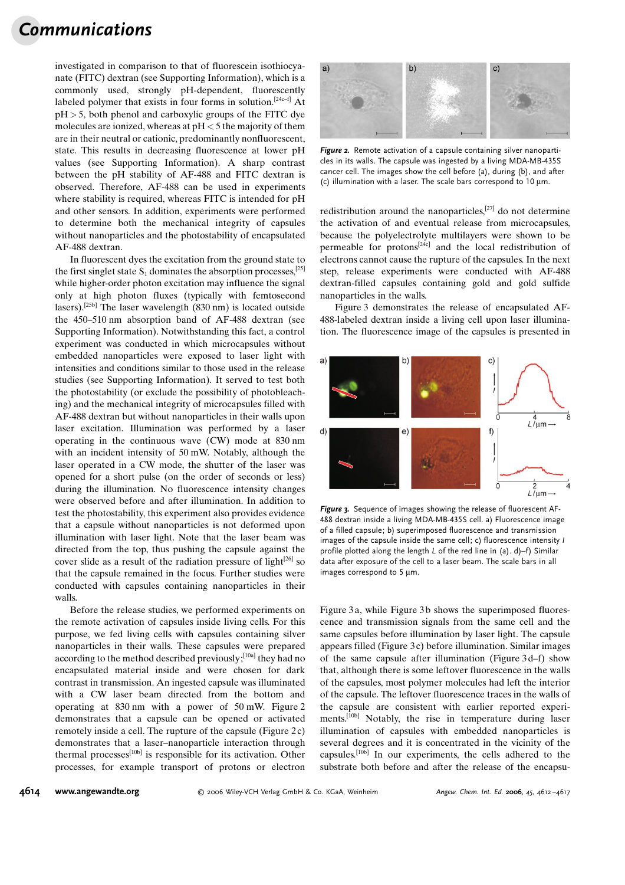### Communications

investigated in comparison to that of fluorescein isothiocyanate (FITC) dextran (see Supporting Information), which is a commonly used, strongly pH-dependent, fluorescently labeled polymer that exists in four forms in solution.<sup>[24c–f]</sup> At  $pH > 5$ , both phenol and carboxylic groups of the FITC dye molecules are ionized, whereas at  $pH < 5$  the majority of them are in their neutral or cationic, predominantly nonfluorescent, state. This results in decreasing fluorescence at lower pH values (see Supporting Information). A sharp contrast between the pH stability of AF-488 and FITC dextran is observed. Therefore, AF-488 can be used in experiments where stability is required, whereas FITC is intended for pH and other sensors. In addition, experiments were performed to determine both the mechanical integrity of capsules without nanoparticles and the photostability of encapsulated AF-488 dextran.

In fluorescent dyes the excitation from the ground state to the first singlet state  $S_1$  dominates the absorption processes,<sup>[25]</sup> while higher-order photon excitation may influence the signal only at high photon fluxes (typically with femtosecond lasers).<sup>[25b]</sup> The laser wavelength  $(830 \text{ nm})$  is located outside the 450–510 nm absorption band of AF-488 dextran (see Supporting Information). Notwithstanding this fact, a control experiment was conducted in which microcapsules without embedded nanoparticles were exposed to laser light with intensities and conditions similar to those used in the release studies (see Supporting Information). It served to test both the photostability (or exclude the possibility of photobleaching) and the mechanical integrity of microcapsules filled with AF-488 dextran but without nanoparticles in their walls upon laser excitation. Illumination was performed by a laser operating in the continuous wave (CW) mode at 830 nm with an incident intensity of 50 mW. Notably, although the laser operated in a CW mode, the shutter of the laser was opened for a short pulse (on the order of seconds or less) during the illumination. No fluorescence intensity changes were observed before and after illumination. In addition to test the photostability, this experiment also provides evidence that a capsule without nanoparticles is not deformed upon illumination with laser light. Note that the laser beam was directed from the top, thus pushing the capsule against the cover slide as a result of the radiation pressure of light $[26]$  so that the capsule remained in the focus. Further studies were conducted with capsules containing nanoparticles in their walls.

Before the release studies, we performed experiments on the remote activation of capsules inside living cells. For this purpose, we fed living cells with capsules containing silver nanoparticles in their walls. These capsules were prepared according to the method described previously;<sup>[10a]</sup> they had no encapsulated material inside and were chosen for dark contrast in transmission. An ingested capsule was illuminated with a CW laser beam directed from the bottom and operating at 830 nm with a power of 50 mW. Figure 2 demonstrates that a capsule can be opened or activated remotely inside a cell. The rupture of the capsule (Figure 2c) demonstrates that a laser–nanoparticle interaction through thermal processes[10b] is responsible for its activation. Other processes, for example transport of protons or electron



Figure 2. Remote activation of a capsule containing silver nanoparticles in its walls. The capsule was ingested by a living MDA-MB-435S cancer cell. The images show the cell before (a), during (b), and after (c) illumination with a laser. The scale bars correspond to  $10 \mu m$ .

redistribution around the nanoparticles,[27] do not determine the activation of and eventual release from microcapsules, because the polyelectrolyte multilayers were shown to be permeable for protons[24c] and the local redistribution of electrons cannot cause the rupture of the capsules. In the next step, release experiments were conducted with AF-488 dextran-filled capsules containing gold and gold sulfide nanoparticles in the walls.

Figure 3 demonstrates the release of encapsulated AF-488-labeled dextran inside a living cell upon laser illumination. The fluorescence image of the capsules is presented in



Figure 3. Sequence of images showing the release of fluorescent AF-488 dextran inside a living MDA-MB-435S cell. a) Fluorescence image of a filled capsule; b) superimposed fluorescence and transmission images of the capsule inside the same cell; c) fluorescence intensity I profile plotted along the length L of the red line in (a). d)–f) Similar data after exposure of the cell to a laser beam. The scale bars in all images correspond to  $5 \mu m$ .

Figure 3a, while Figure 3b shows the superimposed fluorescence and transmission signals from the same cell and the same capsules before illumination by laser light. The capsule appears filled (Figure 3c) before illumination. Similar images of the same capsule after illumination (Figure 3 d–f) show that, although there is some leftover fluorescence in the walls of the capsules, most polymer molecules had left the interior of the capsule. The leftover fluorescence traces in the walls of the capsule are consistent with earlier reported experiments.<sup>[10b]</sup> Notably, the rise in temperature during laser illumination of capsules with embedded nanoparticles is several degrees and it is concentrated in the vicinity of the capsules.[10b] In our experiments, the cells adhered to the substrate both before and after the release of the encapsu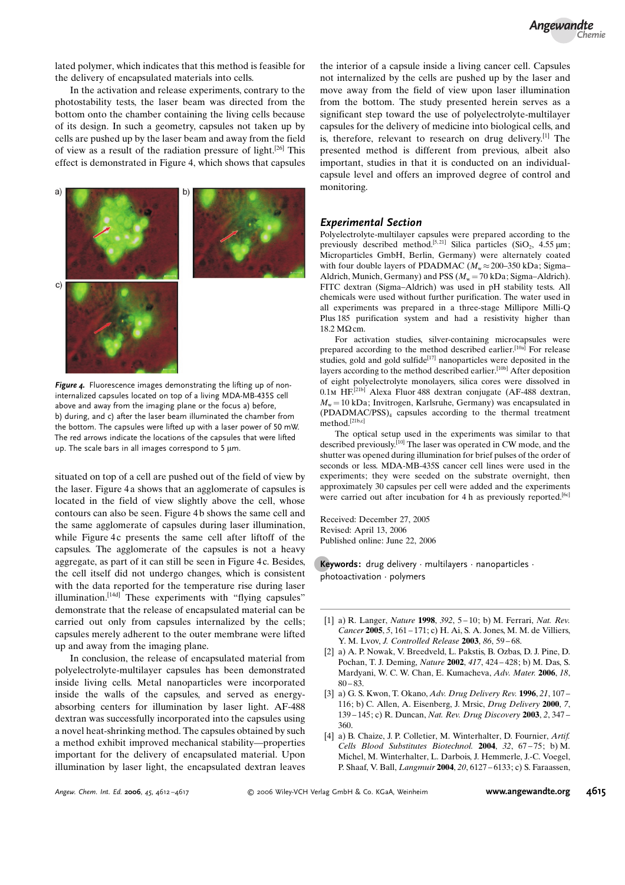lated polymer, which indicates that this method is feasible for the delivery of encapsulated materials into cells.

In the activation and release experiments, contrary to the photostability tests, the laser beam was directed from the bottom onto the chamber containing the living cells because of its design. In such a geometry, capsules not taken up by cells are pushed up by the laser beam and away from the field of view as a result of the radiation pressure of light.[26] This effect is demonstrated in Figure 4, which shows that capsules



Figure 4. Fluorescence images demonstrating the lifting up of noninternalized capsules located on top of a living MDA-MB-435S cell above and away from the imaging plane or the focus a) before, b) during, and c) after the laser beam illuminated the chamber from the bottom. The capsules were lifted up with a laser power of 50 mW. The red arrows indicate the locations of the capsules that were lifted up. The scale bars in all images correspond to  $5 \mu m$ .

situated on top of a cell are pushed out of the field of view by the laser. Figure 4 a shows that an agglomerate of capsules is located in the field of view slightly above the cell, whose contours can also be seen. Figure 4 b shows the same cell and the same agglomerate of capsules during laser illumination, while Figure 4c presents the same cell after liftoff of the capsules. The agglomerate of the capsules is not a heavy aggregate, as part of it can still be seen in Figure 4 c. Besides, the cell itself did not undergo changes, which is consistent with the data reported for the temperature rise during laser illumination.<sup>[14d]</sup> These experiments with "flying capsules" demonstrate that the release of encapsulated material can be carried out only from capsules internalized by the cells; capsules merely adherent to the outer membrane were lifted up and away from the imaging plane.

In conclusion, the release of encapsulated material from polyelectrolyte-multilayer capsules has been demonstrated inside living cells. Metal nanoparticles were incorporated inside the walls of the capsules, and served as energyabsorbing centers for illumination by laser light. AF-488 dextran was successfully incorporated into the capsules using a novel heat-shrinking method. The capsules obtained by such a method exhibit improved mechanical stability—properties important for the delivery of encapsulated material. Upon illumination by laser light, the encapsulated dextran leaves the interior of a capsule inside a living cancer cell. Capsules not internalized by the cells are pushed up by the laser and move away from the field of view upon laser illumination from the bottom. The study presented herein serves as a significant step toward the use of polyelectrolyte-multilayer capsules for the delivery of medicine into biological cells, and is, therefore, relevant to research on drug delivery.<sup>[1]</sup> The presented method is different from previous, albeit also important, studies in that it is conducted on an individualcapsule level and offers an improved degree of control and monitoring.

### Experimental Section

Polyelectrolyte-multilayer capsules were prepared according to the previously described method.<sup>[5,21]</sup> Silica particles (SiO<sub>2</sub>,  $\frac{4.55 \text{ }\mu\text{m}}{2.5 \text{ }\mu\text{m}}$ ; Microparticles GmbH, Berlin, Germany) were alternately coated with four double layers of PDADMAC ( $M_w \approx 200-350$  kDa; Sigma– Aldrich, Munich, Germany) and PSS ( $M_w = 70$  kDa; Sigma–Aldrich). FITC dextran (Sigma–Aldrich) was used in pH stability tests. All chemicals were used without further purification. The water used in all experiments was prepared in a three-stage Millipore Milli-Q Plus 185 purification system and had a resistivity higher than  $18.2$  M $\Omega$ cm.

For activation studies, silver-containing microcapsules were prepared according to the method described earlier.<sup>[10a]</sup> For release studies, gold and gold sulfide<sup>[17]</sup> nanoparticles were deposited in the layers according to the method described earlier.<sup>[10b]</sup> After deposition of eight polyelectrolyte monolayers, silica cores were dissolved in 0.1m HF.[21b] Alexa Fluor 488 dextran conjugate (AF-488 dextran,  $M_w = 10$  kDa; Invitrogen, Karlsruhe, Germany) was encapsulated in  $(PDADMAC/PSS)<sub>4</sub>$  capsules according to the thermal treatment method.[21b,c]

The optical setup used in the experiments was similar to that described previously.[10] The laser was operated in CW mode, and the shutter was opened during illumination for brief pulses of the order of seconds or less. MDA-MB-435S cancer cell lines were used in the experiments; they were seeded on the substrate overnight, then approximately 30 capsules per cell were added and the experiments were carried out after incubation for 4 h as previously reported.<sup>[6c]</sup>

Received: December 27, 2005 Revised: April 13, 2006 Published online: June 22, 2006

Keywords: drug delivery · multilayers · nanoparticles · photoactivation · polymers

- [1] a) R. Langer, Nature 1998, 392, 5– 10; b) M. Ferrari, Nat. Rev. Cancer 2005, 5, 161 – 171; c) H. Ai, S. A. Jones, M. M. de Villiers, Y. M. Lvov, J. Controlled Release 2003, 86, 59 – 68.
- [2] a) A. P. Nowak, V. Breedveld, L. Pakstis, B. Ozbas, D. J. Pine, D. Pochan, T. J. Deming, Nature 2002, 417, 424 – 428; b) M. Das, S. Mardyani, W. C. W. Chan, E. Kumacheva, Adv. Mater. 2006, 18,  $80 - 83.$
- [3] a) G. S. Kwon, T. Okano, Adv. Drug Delivery Rev. 1996, 21, 107 -116; b) C. Allen, A. Eisenberg, J. Mrsic, Drug Delivery 2000, 7, 139 – 145; c) R. Duncan, Nat. Rev. Drug Discovery 2003, 2, 347 – 360.
- [4] a) B. Chaize, J. P. Colletier, M. Winterhalter, D. Fournier, Artif. Cells Blood Substitutes Biotechnol. 2004, 32,  $67-75$ ; b) M. Michel, M. Winterhalter, L. Darbois, J. Hemmerle, J.-C. Voegel, P. Shaaf, V. Ball, Langmuir 2004, 20, 6127 – 6133; c) S. Faraassen,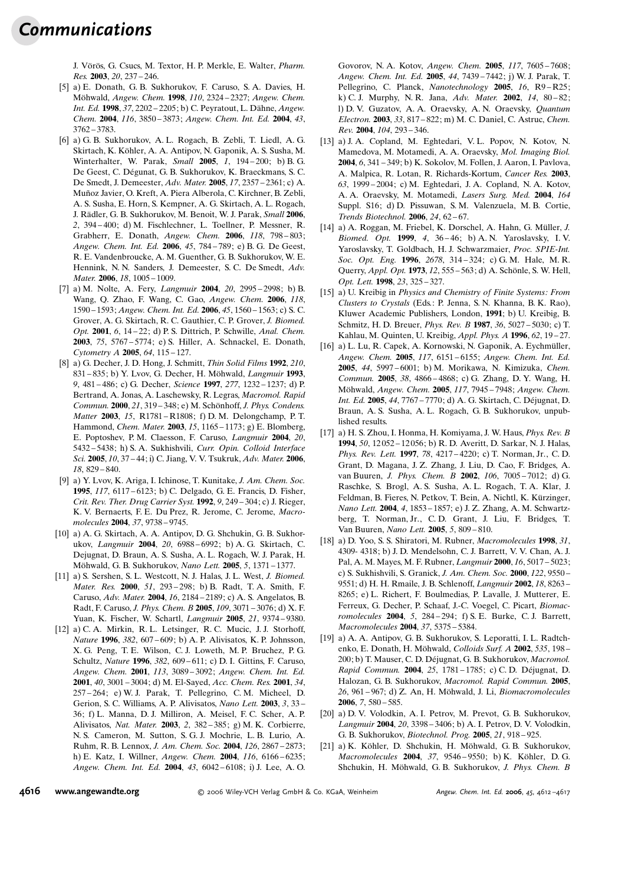## Communications

J. Vörös, G. Csucs, M. Textor, H. P. Merkle, E. Walter, Pharm. Res. 2003, 20, 237 – 246.

- [5] a) E. Donath, G. B. Sukhorukov, F. Caruso, S. A. Davies, H. Möhwald, Angew. Chem. 1998, 110, 2324 – 2327; Angew. Chem. Int. Ed. 1998, 37, 2202-2205; b) C. Peyratout, L. Dähne, Angew. Chem. 2004, 116, 3850 – 3873; Angew. Chem. Int. Ed. 2004, 43, 3762 – 3783.
- [6] a) G. B. Sukhorukov, A. L. Rogach, B. Zebli, T. Liedl, A. G. Skirtach, K. Köhler, A. A. Antipov, N. Gaponik, A. S. Susha, M. Winterhalter, W. Parak, Small 2005, 1, 194 – 200; b) B. G. De Geest, C. Dégunat, G. B. Sukhorukov, K. Braeckmans, S. C. De Smedt, J. Demeester, Adv. Mater. 2005, 17, 2357 – 2361; c) A. Muñoz Javier, O. Kreft, A. Piera Alberola, C. Kirchner, B. Zebli, A. S. Susha, E. Horn, S. Kempner, A. G. Skirtach, A. L. Rogach, J. Rädler, G. B. Sukhorukov, M. Benoit, W. J. Parak, Small 2006, 2, 394 – 400; d) M. Fischlechner, L. Toellner, P. Messner, R. Grabherr, E. Donath, Angew. Chem. 2006, 118, 798 – 803; Angew. Chem. Int. Ed. 2006, 45, 784 – 789; e) B. G. De Geest, R. E. Vandenbroucke, A. M. Guenther, G. B. Sukhorukov, W. E. Hennink, N. N. Sanders, J. Demeester, S. C. De Smedt, Adv. Mater. 2006, 18, 1005 - 1009.
- [7] a) M. Nolte, A. Fery, *Langmuir* **2004**, 20, 2995–2998; b) B. Wang, Q. Zhao, F. Wang, C. Gao, Angew. Chem. 2006, 118, 1590 – 1593; Angew. Chem. Int. Ed. 2006, 45, 1560 – 1563; c) S. C. Grover, A. G. Skirtach, R. C. Gauthier, C. P. Grover, J. Biomed. Opt. 2001, 6, 14-22; d) P. S. Dittrich, P. Schwille, Anal. Chem. 2003, 75, 5767 – 5774; e) S. Hiller, A. Schnackel, E. Donath, Cytometry A 2005, 64, 115– 127.
- [8] a) G. Decher, J. D. Hong, J. Schmitt, Thin Solid Films 1992, 210, 831 – 835; b) Y. Lvov, G. Decher, H. Möhwald, Langmuir 1993, 9, 481 – 486; c) G. Decher, Science 1997, 277, 1232 – 1237; d) P. Bertrand, A. Jonas, A. Laschewsky, R. Legras, Macromol. Rapid Commun. 2000, 21, 319-348; e) M. Schönhoff, J. Phys. Condens. Matter 2003, 15, R1781 – R1808; f) D. M. Delongchamp, P. T. Hammond, Chem. Mater. 2003, 15, 1165– 1173; g) E. Blomberg, E. Poptoshev, P. M. Claesson, F. Caruso, Langmuir 2004, 20, 5432 – 5438; h) S. A. Sukhishvili, Curr. Opin. Colloid Interface Sci. 2005, 10, 37 – 44; i) C. Jiang, V. V. Tsukruk, Adv. Mater. 2006, 18, 829 – 840.
- [9] a) Y. Lvov, K. Ariga, I. Ichinose, T. Kunitake, J. Am. Chem. Soc. 1995, 117, 6117 – 6123; b) C. Delgado, G. E. Francis, D. Fisher, Crit. Rev. Ther. Drug Carrier Syst. 1992, 9, 249 – 304; c) J. Rieger, K. V. Bernaerts, F. E. Du Prez, R. Jerome, C. Jerome, Macromolecules 2004, 37, 9738 – 9745.
- [10] a) A. G. Skirtach, A. A. Antipov, D. G. Shchukin, G. B. Sukhorukov, Langmuir 2004, 20, 6988 – 6992; b) A. G. Skirtach, C. Dejugnat, D. Braun, A. S. Susha, A. L. Rogach, W. J. Parak, H. Möhwald, G. B. Sukhorukov, Nano Lett. 2005, 5, 1371-1377.
- [11] a) S. Sershen, S. L. Westcott, N. J. Halas, J. L. West, J. Biomed. Mater. Res. 2000, 51, 293 – 298; b) B. Radt, T. A. Smith, F. Caruso, Adv. Mater. 2004, 16, 2184 – 2189; c) A. S. Angelatos, B. Radt, F. Caruso, J. Phys. Chem. B 2005, 109, 3071 – 3076; d) X. F. Yuan, K. Fischer, W. Schartl, Langmuir 2005, 21, 9374 – 9380.
- [12] a) C. A. Mirkin, R. L. Letsinger, R. C. Mucic, J. J. Storhoff, Nature 1996, 382, 607 – 609; b) A. P. Alivisatos, K. P. Johnsson, X. G. Peng, T. E. Wilson, C. J. Loweth, M. P. Bruchez, P. G. Schultz, Nature 1996, 382, 609 – 611; c) D. I. Gittins, F. Caruso, Angew. Chem. 2001, 113, 3089 – 3092; Angew. Chem. Int. Ed. 2001, 40, 3001 – 3004; d) M. El-Sayed, Acc. Chem. Res. 2001, 34, 257 – 264; e) W. J. Parak, T. Pellegrino, C. M. Micheel, D. Gerion, S. C. Williams, A. P. Alivisatos, Nano Lett. 2003, 3, 33 – 36; f) L. Manna, D. J. Milliron, A. Meisel, F. C. Scher, A. P. Alivisatos, Nat. Mater. 2003, 2, 382 – 385; g) M. K. Corbierre, N. S. Cameron, M. Sutton, S. G. J. Mochrie, L. B. Lurio, A. Ruhm, R. B. Lennox, J. Am. Chem. Soc. 2004, 126, 2867 – 2873; h) E. Katz, I. Willner, Angew. Chem. 2004, 116, 6166-6235; Angew. Chem. Int. Ed. 2004, 43, 6042 – 6108; i) J. Lee, A. O.

Govorov, N. A. Kotov, Angew. Chem. 2005, 117, 7605– 7608; Angew. Chem. Int. Ed. 2005, 44, 7439 – 7442; j) W. J. Parak, T. Pellegrino, C. Planck, Nanotechnology 2005, 16, R9-R25; k) C. J. Murphy, N. R. Jana, Adv. Mater. 2002, 14, 80-82; l) D. V. Guzatov, A. A. Oraevsky, A. N. Oraevsky, Quantum Electron. 2003, 33, 817 – 822; m) M. C. Daniel, C. Astruc, Chem. Rev. 2004, 104, 293 – 346.

- [13] a) J. A. Copland, M. Eghtedari, V. L. Popov, N. Kotov, N. Mamedova, M. Motamedi, A. A. Oraevsky, Mol. Imaging Biol. 2004, 6, 341 – 349; b) K. Sokolov, M. Follen, J. Aaron, I. Pavlova, A. Malpica, R. Lotan, R. Richards-Kortum, Cancer Res. 2003, 63, 1999 – 2004; c) M. Eghtedari, J. A. Copland, N. A. Kotov, A. A. Oraevsky, M. Motamedi, Lasers Surg. Med. 2004, 164 Suppl. S16; d) D. Pissuwan, S. M. Valenzuela, M. B. Cortie, Trends Biotechnol. 2006, 24, 62 – 67.
- [14] a) A. Roggan, M. Friebel, K. Dorschel, A. Hahn, G. Müller, J. Biomed. Opt. 1999, 4, 36 – 46; b) A. N. Yaroslavsky, I. V. Yaroslavsky, T. Goldbach, H. J. Schwarzmaier, Proc. SPIE-Int. Soc. Opt. Eng. 1996, 2678, 314 – 324; c) G. M. Hale, M. R. Querry, Appl. Opt. 1973, 12, 555 – 563; d) A. Schönle, S. W. Hell, Opt. Lett. 1998, 23, 325– 327.
- [15] a) U. Kreibig in Physics and Chemistry of Finite Systems: From Clusters to Crystals (Eds.: P. Jenna, S. N. Khanna, B. K. Rao), Kluwer Academic Publishers, London, 1991; b) U. Kreibig, B. Schmitz, H. D. Breuer, Phys. Rev. B 1987, 36, 5027 – 5030; c) T. Kahlau, M. Quinten, U. Kreibig, Appl. Phys. A 1996, 62, 19 – 27.
- [16] a) L. Lu, R. Capek, A. Kornowski, N. Gaponik, A. Eychmüller, Angew. Chem. 2005, 117, 6151 – 6155; Angew. Chem. Int. Ed. 2005, 44, 5997 – 6001; b) M. Morikawa, N. Kimizuka, Chem. Commun. 2005, 38, 4866 – 4868; c) G. Zhang, D. Y. Wang, H. Möhwald, Angew. Chem. 2005, 117, 7945–7948; Angew. Chem. Int. Ed. 2005, 44, 7767 – 7770; d) A. G. Skirtach, C. Déjugnat, D. Braun, A. S. Susha, A. L. Rogach, G. B. Sukhorukov, unpublished results.
- [17] a) H. S. Zhou, I. Honma, H. Komiyama, J. W. Haus, Phys. Rev. B 1994, 50, 12 052 – 12 056; b) R. D. Averitt, D. Sarkar, N. J. Halas, Phys. Rev. Lett. 1997, 78, 4217 – 4220; c) T. Norman, Jr., C. D. Grant, D. Magana, J. Z. Zhang, J. Liu, D. Cao, F. Bridges, A. van Buuren, J. Phys. Chem. B 2002, 106, 7005– 7012; d) G. Raschke, S. Brogl, A. S. Susha, A. L. Rogach, T. A. Klar, J. Feldman, B. Fieres, N. Petkov, T. Bein, A. Nichtl, K. Kürzinger, Nano Lett. 2004, 4, 1853 – 1857; e) J. Z. Zhang, A. M. Schwartzberg, T. Norman, Jr., C. D. Grant, J. Liu, F. Bridges, T. Van Buuren, Nano Lett. 2005, 5, 809 – 810.
- [18] a) D. Yoo, S. S. Shiratori, M. Rubner, Macromolecules 1998, 31, 4309- 4318; b) J. D. Mendelsohn, C. J. Barrett, V. V. Chan, A. J. Pal, A. M. Mayes, M. F. Rubner, Langmuir 2000, 16, 5017 – 5023; c) S. Sukhishvili, S. Granick, J. Am. Chem. Soc. 2000, 122, 9550 -9551; d) H. H. Rmaile, J. B. Schlenoff, Langmuir 2002, 18, 8263 – 8265; e) L. Richert, F. Boulmedias, P. Lavalle, J. Mutterer, E. Ferreux, G. Decher, P. Schaaf, J.-C. Voegel, C. Picart, Biomacromolecules 2004, 5, 284 – 294; f) S. E. Burke, C. J. Barrett, Macromolecules 2004, 37, 5375 – 5384.
- [19] a) A. A. Antipov, G. B. Sukhorukov, S. Leporatti, I. L. Radtchenko, E. Donath, H. Möhwald, Colloids Surf. A 2002, 535, 198-200; b) T. Mauser, C. D. Déjugnat, G. B. Sukhorukov, Macromol. Rapid Commun. 2004, 25, 1781-1785; c) C. D. Déjugnat, D. Halozan, G. B. Sukhorukov, Macromol. Rapid Commun. 2005, 26, 961-967; d) Z. An, H. Möhwald, J. Li, Biomacromolecules 2006, 7, 580 – 585.
- [20] a) D. V. Volodkin, A. I. Petrov, M. Prevot, G. B. Sukhorukov, Langmuir 2004, 20, 3398 – 3406; b) A. I. Petrov, D. V. Volodkin, G. B. Sukhorukov, Biotechnol. Prog. 2005, 21, 918 – 925.
- [21] a) K. Köhler, D. Shchukin, H. Möhwald, G. B. Sukhorukov, Macromolecules 2004, 37, 9546-9550; b) K. Köhler, D. G. Shchukin, H. Möhwald, G. B. Sukhorukov, J. Phys. Chem. B.